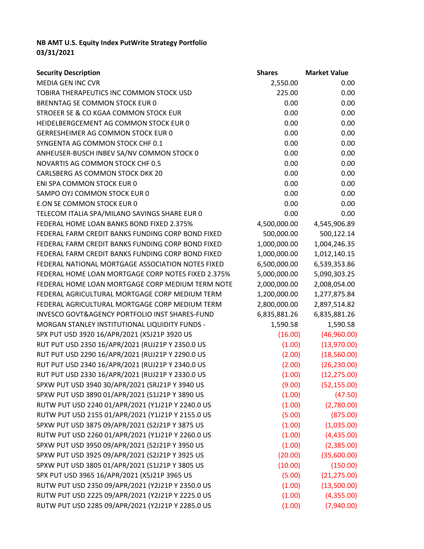## **NB AMT U.S. Equity Index PutWrite Strategy Portfolio 03/31/2021**

| <b>Security Description</b>                        | <b>Shares</b> | <b>Market Value</b> |
|----------------------------------------------------|---------------|---------------------|
| <b>MEDIA GEN INC CVR</b>                           | 2,550.00      | 0.00                |
| TOBIRA THERAPEUTICS INC COMMON STOCK USD           | 225.00        | 0.00                |
| BRENNTAG SE COMMON STOCK EUR 0                     | 0.00          | 0.00                |
| STROEER SE & CO KGAA COMMON STOCK EUR              | 0.00          | 0.00                |
| HEIDELBERGCEMENT AG COMMON STOCK EUR 0             | 0.00          | 0.00                |
| GERRESHEIMER AG COMMON STOCK EUR 0                 | 0.00          | 0.00                |
| SYNGENTA AG COMMON STOCK CHF 0.1                   | 0.00          | 0.00                |
| ANHEUSER-BUSCH INBEV SA/NV COMMON STOCK 0          | 0.00          | 0.00                |
| <b>NOVARTIS AG COMMON STOCK CHF 0.5</b>            | 0.00          | 0.00                |
| CARLSBERG AS COMMON STOCK DKK 20                   | 0.00          | 0.00                |
| ENI SPA COMMON STOCK EUR 0                         | 0.00          | 0.00                |
| SAMPO OYJ COMMON STOCK EUR 0                       | 0.00          | 0.00                |
| E.ON SE COMMON STOCK EUR 0                         | 0.00          | 0.00                |
| TELECOM ITALIA SPA/MILANO SAVINGS SHARE EUR 0      | 0.00          | 0.00                |
| FEDERAL HOME LOAN BANKS BOND FIXED 2.375%          | 4,500,000.00  | 4,545,906.89        |
| FEDERAL FARM CREDIT BANKS FUNDING CORP BOND FIXED  | 500,000.00    | 500,122.14          |
| FEDERAL FARM CREDIT BANKS FUNDING CORP BOND FIXED  | 1,000,000.00  | 1,004,246.35        |
| FEDERAL FARM CREDIT BANKS FUNDING CORP BOND FIXED  | 1,000,000.00  | 1,012,140.15        |
| FEDERAL NATIONAL MORTGAGE ASSOCIATION NOTES FIXED  | 6,500,000.00  | 6,539,353.86        |
| FEDERAL HOME LOAN MORTGAGE CORP NOTES FIXED 2.375% | 5,000,000.00  | 5,090,303.25        |
| FEDERAL HOME LOAN MORTGAGE CORP MEDIUM TERM NOTE   | 2,000,000.00  | 2,008,054.00        |
| FEDERAL AGRICULTURAL MORTGAGE CORP MEDIUM TERM     | 1,200,000.00  | 1,277,875.84        |
| FEDERAL AGRICULTURAL MORTGAGE CORP MEDIUM TERM     | 2,800,000.00  | 2,897,514.82        |
| INVESCO GOVT&AGENCY PORTFOLIO INST SHARES-FUND     | 6,835,881.26  | 6,835,881.26        |
| MORGAN STANLEY INSTITUTIONAL LIQUIDITY FUNDS -     | 1,590.58      | 1,590.58            |
| SPX PUT USD 3920 16/APR/2021 (X5J21P 3920 US       | (16.00)       | (46,960.00)         |
| RUT PUT USD 2350 16/APR/2021 (RUJ21P Y 2350.0 US   | (1.00)        | (13,970.00)         |
| RUT PUT USD 2290 16/APR/2021 (RUJ21P Y 2290.0 US   | (2.00)        | (18,560.00)         |
| RUT PUT USD 2340 16/APR/2021 (RUJ21P Y 2340.0 US   | (2.00)        | (26, 230.00)        |
| RUT PUT USD 2330 16/APR/2021 (RUJ21P Y 2330.0 US   | (1.00)        | (12, 275.00)        |
| SPXW PUT USD 3940 30/APR/2021 (SRJ21P Y 3940 US    | (9.00)        | (52, 155.00)        |
| SPXW PUT USD 3890 01/APR/2021 (S1J21P Y 3890 US    | (1.00)        | (47.50)             |
| RUTW PUT USD 2240 01/APR/2021 (Y1J21P Y 2240.0 US  | (1.00)        | (2,780.00)          |
| RUTW PUT USD 2155 01/APR/2021 (Y1J21P Y 2155.0 US  | (5.00)        | (875.00)            |
| SPXW PUT USD 3875 09/APR/2021 (S2J21P Y 3875 US    | (1.00)        | (1,035.00)          |
| RUTW PUT USD 2260 01/APR/2021 (Y1J21P Y 2260.0 US  | (1.00)        | (4,435.00)          |
| SPXW PUT USD 3950 09/APR/2021 (S2J21P Y 3950 US    | (1.00)        | (2,385.00)          |
| SPXW PUT USD 3925 09/APR/2021 (S2J21P Y 3925 US    | (20.00)       | (35,600.00)         |
| SPXW PUT USD 3805 01/APR/2021 (S1J21P Y 3805 US    | (10.00)       | (150.00)            |
| SPX PUT USD 3965 16/APR/2021 (X5J21P 3965 US       | (5.00)        | (21, 275.00)        |
| RUTW PUT USD 2350 09/APR/2021 (Y2J21P Y 2350.0 US  | (1.00)        | (13,500.00)         |
| RUTW PUT USD 2225 09/APR/2021 (Y2J21P Y 2225.0 US  | (1.00)        | (4,355.00)          |
| RUTW PUT USD 2285 09/APR/2021 (Y2J21P Y 2285.0 US  | (1.00)        | (7,940.00)          |